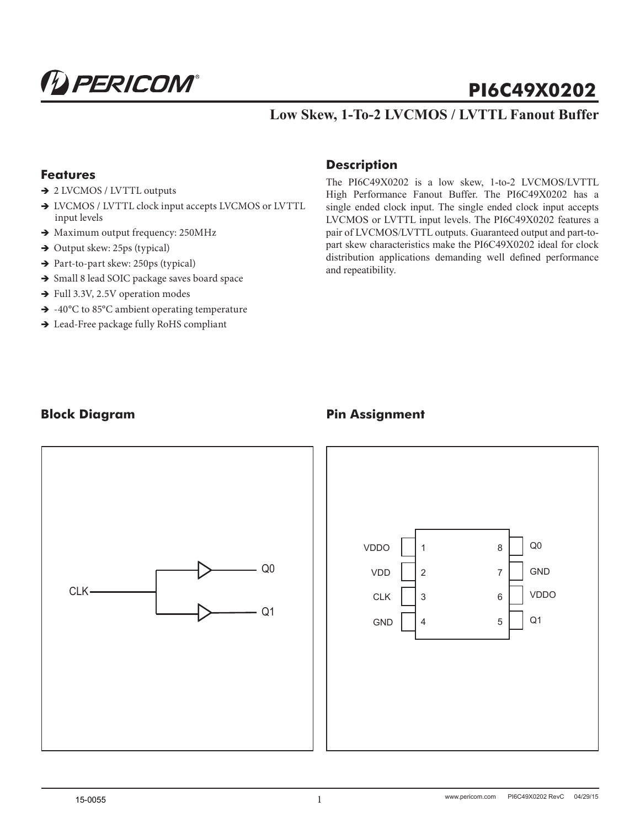

# **PI6C49X0202**

## **Low Skew, 1-To-2 LVCMOS / LVTTL Fanout Buffer**

#### **Features**

- → 2 LVCMOS / LVTTL outputs
- $\rightarrow$  LVCMOS / LVTTL clock input accepts LVCMOS or LVTTL input levels
- $\rightarrow$  Maximum output frequency: 250MHz
- $\rightarrow$  Output skew: 25ps (typical)
- $\rightarrow$  Part-to-part skew: 250ps (typical)
- $\rightarrow$  Small 8 lead SOIC package saves board space
- $\rightarrow$  Full 3.3V, 2.5V operation modes
- $\rightarrow$  -40°C to 85°C ambient operating temperature
- → Lead-Free package fully RoHS compliant

#### **Description**

The PI6C49X0202 is a low skew, 1-to-2 LVCMOS/LVTTL High Performance Fanout Buffer. The PI6C49X0202 has a single ended clock input. The single ended clock input accepts LVCMOS or LVTTL input levels. The PI6C49X0202 features a pair of LVCMOS/LVTTL outputs. Guaranteed output and part-topart skew characteristics make the PI6C49X0202 ideal for clock distribution applications demanding well defined performance and repeatibility.

#### **Block Diagram**



# **Pin Assignment**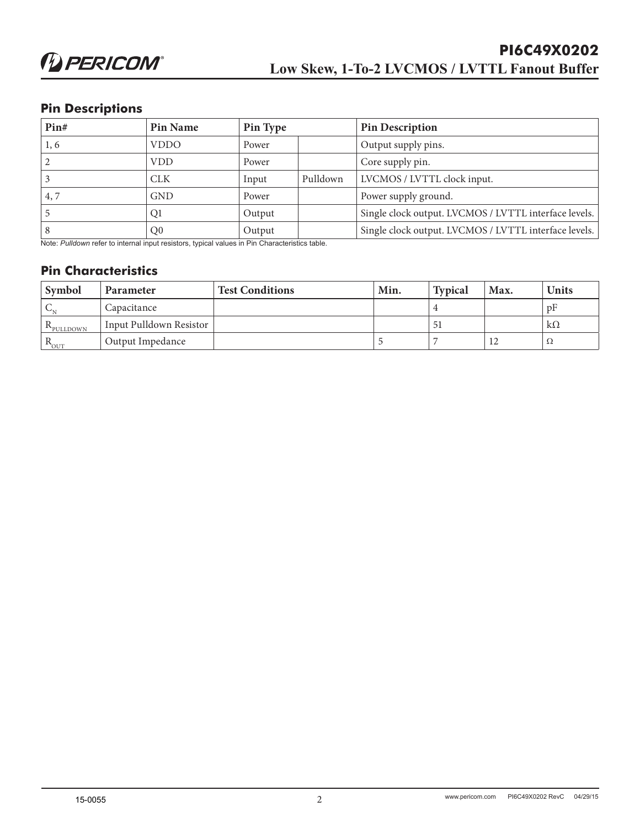#### **Pin Descriptions**

| Pin# | Pin Name       | Pin Type |          | <b>Pin Description</b>                                |
|------|----------------|----------|----------|-------------------------------------------------------|
| 1, 6 | <b>VDDO</b>    | Power    |          | Output supply pins.                                   |
|      | <b>VDD</b>     | Power    |          | Core supply pin.                                      |
|      | <b>CLK</b>     | Input    | Pulldown | LVCMOS / LVTTL clock input.                           |
| 4.7  | <b>GND</b>     | Power    |          | Power supply ground.                                  |
|      | Q1             | Output   |          | Single clock output. LVCMOS / LVTTL interface levels. |
|      | Q <sub>0</sub> | Output   |          | Single clock output. LVCMOS / LVTTL interface levels. |

Note: *Pulldown* refer to internal input resistors, typical values in Pin Characteristics table.

#### **Pin Characteristics**

| <b>Symbol</b>    | <b>Parameter</b>        | Test Conditions | Min. | <b>Typical</b> | Max. | <b>Units</b> |
|------------------|-------------------------|-----------------|------|----------------|------|--------------|
|                  | Capacitance             |                 |      |                |      | pF           |
| PULLDOWN         | Input Pulldown Resistor |                 |      | 51             |      | $k\Omega$    |
| $R_{\text{OUT}}$ | Output Impedance        |                 |      |                | 12   | Ω            |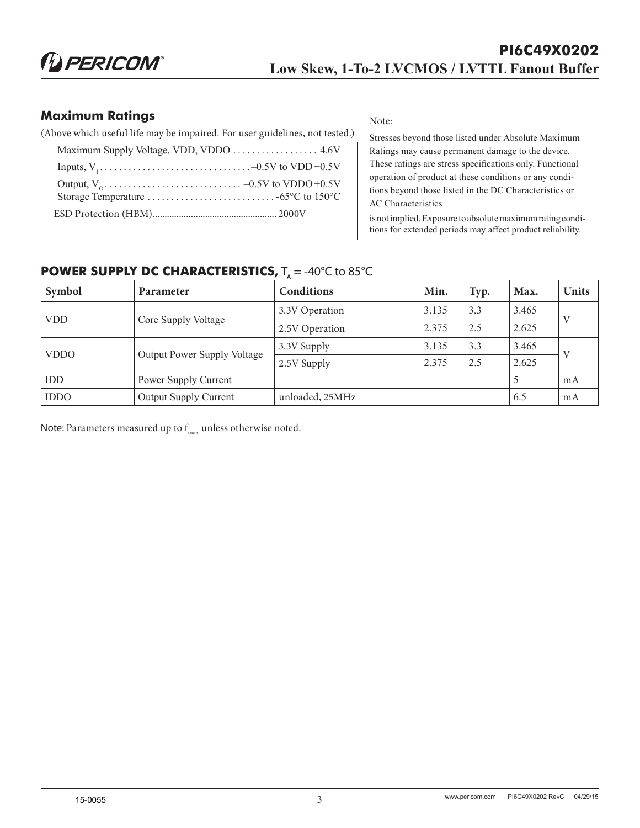### **Maximum Ratings**

(Above which useful life may be impaired. For user guidelines, not tested.)

Note:

Stresses beyond those listed under Absolute Maximum Ratings may cause permanent damage to the device. These ratings are stress specifications only. Functional operation of product at these conditions or any conditions beyond those listed in the DC Characteristics or AC Characteristics

is not implied. Exposure to absolute maximum rating conditions for extended periods may affect product reliability.

# **POWER SUPPLY DC CHARACTERISTICS,**  $T_A = -40^{\circ}C$  to 85°C

| Symbol      | Parameter                          | <b>Conditions</b> | Min.  | Typ. | Max.  | <b>Units</b> |
|-------------|------------------------------------|-------------------|-------|------|-------|--------------|
|             | Core Supply Voltage                | 3.3V Operation    | 3.135 | 3.3  | 3.465 |              |
| <b>VDD</b>  |                                    | 2.5V Operation    | 2.375 | 2.5  | 2.625 | V            |
| <b>VDDO</b> |                                    | 3.3V Supply       | 3.135 | 3.3  | 3.465 | $\mathbf{V}$ |
|             | <b>Output Power Supply Voltage</b> | 2.5V Supply       | 2.375 | 2.5  | 2.625 |              |
| <b>IDD</b>  | Power Supply Current               |                   |       |      | 5     | mA           |
| <b>IDDO</b> | <b>Output Supply Current</b>       | unloaded, 25MHz   |       |      | 6.5   | mA           |

Note: Parameters measured up to  $f_{max}$  unless otherwise noted.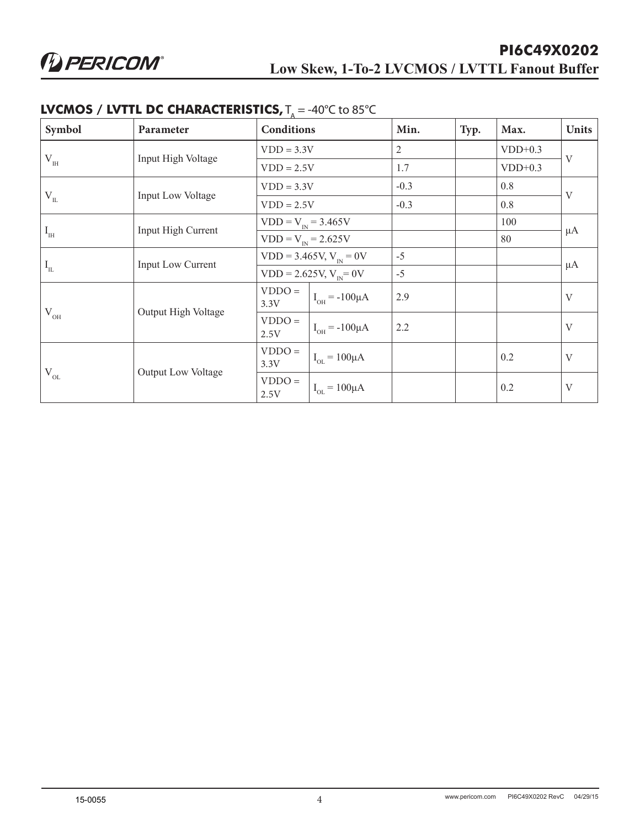| Symbol                                | Parameter          | <b>Conditions</b>       |                            | Min.           | Typ. | Max.      | <b>Units</b> |
|---------------------------------------|--------------------|-------------------------|----------------------------|----------------|------|-----------|--------------|
|                                       |                    | $VDD = 3.3V$            |                            | $\overline{2}$ |      | $VDD+0.3$ | V            |
| $\rm V_{\rm IH}$                      | Input High Voltage |                         | $VDD = 2.5V$               | 1.7            |      | $VDD+0.3$ |              |
|                                       |                    |                         | $VDD = 3.3V$               | $-0.3$         |      | 0.8       | $\mathbf{V}$ |
| $\rm V_{_{II}}$                       | Input Low Voltage  | $VDD = 2.5V$            |                            | $-0.3$         |      | 0.8       |              |
|                                       | Input High Current | $VDD = V_{IN} = 3.465V$ |                            |                |      | 100       |              |
| $I_{\scriptscriptstyle\rm IH}$        |                    |                         | $VDD = V_{IN} = 2.625V$    |                |      | 80        | $\mu A$      |
| $I_{IL}$                              | Input Low Current  |                         | $VDD = 3.465V, V_{N} = 0V$ |                |      |           | $\mu A$      |
|                                       |                    |                         | $VDD = 2.625V, V_{N} = 0V$ | $-5$           |      |           |              |
|                                       |                    | $VDDO =$<br>3.3V        | $I_{OH} = -100 \mu A$      | 2.9            |      |           | $\mathbf V$  |
| Output High Voltage<br>$V_{OH}$       | $VDDO =$<br>2.5V   | $I_{OH} = -100 \mu A$   | 2.2                        |                |      | V         |              |
| $V_{OL}$<br><b>Output Low Voltage</b> |                    | $VDDO =$<br>3.3V        | $I_{OL} = 100 \mu A$       |                |      | 0.2       | V            |
|                                       | $VDDO =$<br>2.5V   | $I_{OL} = 100 \mu A$    |                            |                | 0.2  | V         |              |

#### **LVCMOS / LVTTL DC CHARACTERISTICS,**  $T_a = -40^{\circ}C$  to 85 $^{\circ}C$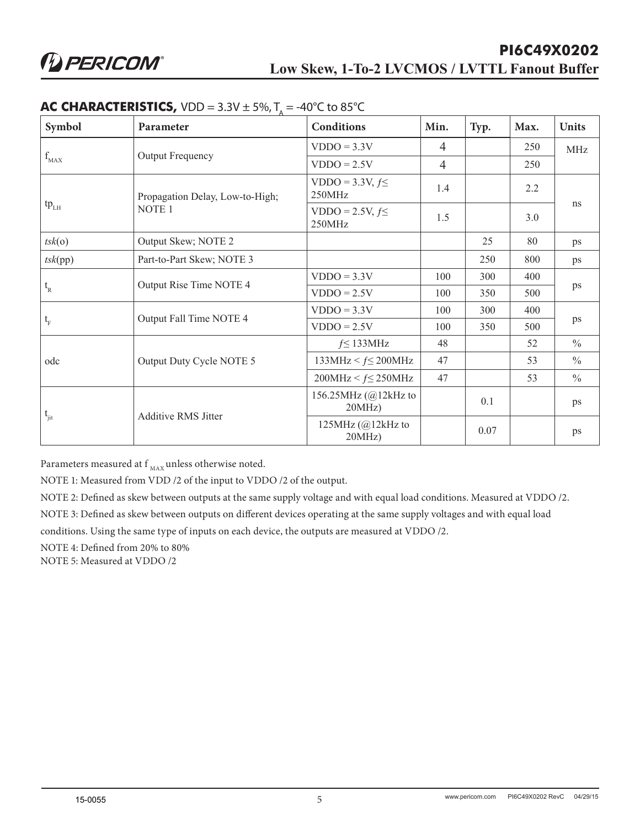| Symbol                                                      | Parameter                       | Conditions                             | Min.           | Typ. | Max. | <b>Units</b>  |
|-------------------------------------------------------------|---------------------------------|----------------------------------------|----------------|------|------|---------------|
|                                                             |                                 | $VDDO = 3.3V$                          | $\overline{4}$ |      | 250  | MHz           |
| $f_{MAX}$                                                   | Output Frequency                | $VDDO = 2.5V$                          | $\overline{4}$ |      | 250  |               |
|                                                             | Propagation Delay, Low-to-High; | VDDO = $3.3V, f \leq$<br>250MHz        | 1.4            |      | 2.2  |               |
| $tp_{LH}$                                                   | NOTE <sub>1</sub>               | VDDO = 2.5V, $f \leq$<br>250MHz        | 1.5            |      | 3.0  | ns            |
| tsk(o)                                                      | Output Skew; NOTE 2             |                                        |                | 25   | 80   | ps            |
| tsk(pp)                                                     | Part-to-Part Skew; NOTE 3       |                                        |                | 250  | 800  | ps            |
|                                                             |                                 | $VDDO = 3.3V$                          | 100            | 300  | 400  | ps            |
| $t_{R}$                                                     | Output Rise Time NOTE 4         | $VDDO = 2.5V$                          | 100            | 350  | 500  |               |
|                                                             |                                 | $VDDO = 3.3V$                          | 100            | 300  | 400  | ps            |
| $\mathfrak{t}_{\rm\scriptscriptstyle F}$                    | Output Fall Time NOTE 4         | $VDDO = 2.5V$                          | 100            | 350  | 500  |               |
|                                                             |                                 | $f \leq 133 MHz$                       | 48             |      | 52   | $\frac{0}{0}$ |
| odc                                                         | Output Duty Cycle NOTE 5        | $133\mbox{MHz} < f \leq 200\mbox{MHz}$ | 47             |      | 53   | $\frac{0}{0}$ |
|                                                             |                                 | $200MHz < f \leq 250MHz$               | 47             |      | 53   | $\frac{0}{0}$ |
| $\mathfrak{t}_{\mathrm{jit}}$<br><b>Additive RMS Jitter</b> |                                 | 156.25MHz (@12kHz to<br>$20MHz$ )      |                | 0.1  |      | ps            |
|                                                             | 125MHz $(Q)$ 12kHz to<br>20MHz  |                                        | 0.07           |      | ps   |               |

#### **AC CHARACTERISTICS,**  $VDD = 3.3V \pm 5\%, T = -40^{\circ}C$  to 85°C

Parameters measured at  $f_{MAX}$  unless otherwise noted.

NOTE 1: Measured from VDD /2 of the input to VDDO /2 of the output.

NOTE 2: Defined as skew between outputs at the same supply voltage and with equal load conditions. Measured at VDDO /2.

NOTE 3: Defined as skew between outputs on different devices operating at the same supply voltages and with equal load

conditions. Using the same type of inputs on each device, the outputs are measured at VDDO /2.

NOTE 4: Defined from 20% to 80%

NOTE 5: Measured at VDDO /2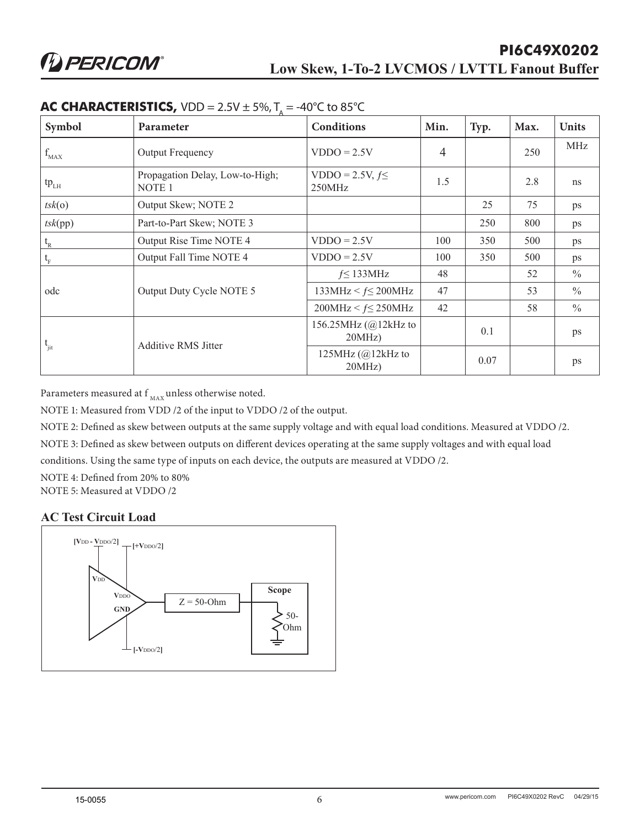| Symbol         | Parameter                                            | Conditions                         | Min. | Typ. | Max. | <b>Units</b>  |
|----------------|------------------------------------------------------|------------------------------------|------|------|------|---------------|
| $f_{MAX}$      | Output Frequency                                     | $VDDO = 2.5V$                      | 4    |      | 250  | MHz           |
| $tp_{LH}$      | Propagation Delay, Low-to-High;<br>NOTE <sub>1</sub> | VDDO = 2.5V, $f \leq$<br>250MHz    | 1.5  |      | 2.8  | ns            |
| tsk(o)         | Output Skew; NOTE 2                                  |                                    |      | 25   | 75   | ps            |
| tsk(pp)        | Part-to-Part Skew; NOTE 3                            |                                    |      | 250  | 800  | ps            |
| $t_{R}$        | Output Rise Time NOTE 4                              | $VDDO = 2.5V$                      | 100  | 350  | 500  | ps            |
| $t_{\rm F}$    | Output Fall Time NOTE 4                              | $VDDO = 2.5V$                      | 100  | 350  | 500  | ps            |
|                |                                                      | $f \leq 133 MHz$                   | 48   |      | 52   | $\frac{0}{0}$ |
| odc            | Output Duty Cycle NOTE 5                             | 133MHz < $f \le 200$ MHz           | 47   |      | 53   | $\frac{0}{0}$ |
|                |                                                      | $200MHz < f \leq 250MHz$           | 42   |      | 58   | $\frac{0}{0}$ |
| $t_{\rm{fit}}$ |                                                      | 156.25MHz (@12kHz to<br>$20MHz$ )  |      | 0.1  |      | ps            |
|                | <b>Additive RMS Jitter</b>                           | 125MHz $(Q)$ 12kHz to<br>$20MHz$ ) |      | 0.07 |      | ps            |

#### **AC CHARACTERISTICS,** VDD =  $2.5V \pm 5\%$ ,  $T_A = -40^{\circ}C$  to 85°C

Parameters measured at f  $_{\rm MAX}$  unless otherwise noted.

NOTE 1: Measured from VDD /2 of the input to VDDO /2 of the output.

NOTE 2: Defined as skew between outputs at the same supply voltage and with equal load conditions. Measured at VDDO /2.

NOTE 3: Defined as skew between outputs on different devices operating at the same supply voltages and with equal load

conditions. Using the same type of inputs on each device, the outputs are measured at VDDO /2.

NOTE 4: Defined from 20% to 80%

NOTE 5: Measured at VDDO /2

#### **AC Test Circuit Load**